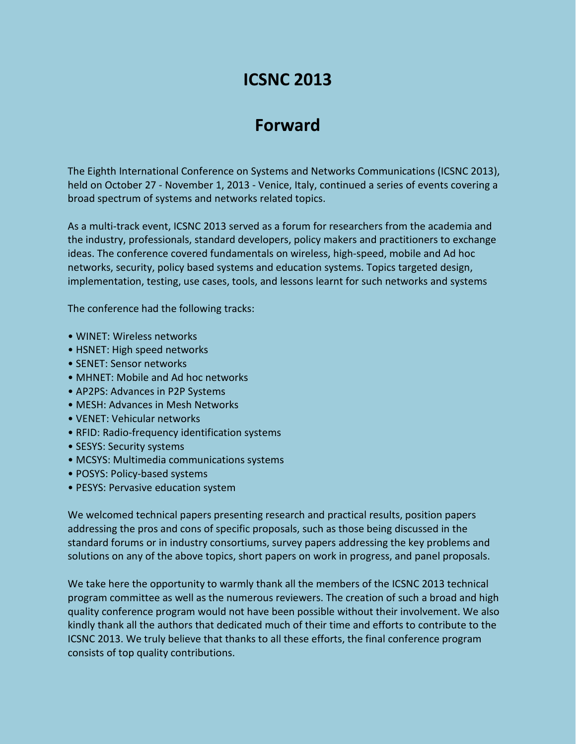# **ICSNC 2013**

## **Forward**

The Eighth International Conference on Systems and Networks Communications (ICSNC 2013), held on October 27 - November 1, 2013 - Venice, Italy, continued a series of events covering a broad spectrum of systems and networks related topics.

As a multi-track event, ICSNC 2013 served as a forum for researchers from the academia and the industry, professionals, standard developers, policy makers and practitioners to exchange ideas. The conference covered fundamentals on wireless, high-speed, mobile and Ad hoc networks, security, policy based systems and education systems. Topics targeted design, implementation, testing, use cases, tools, and lessons learnt for such networks and systems

The conference had the following tracks:

- WINET: Wireless networks
- HSNET: High speed networks
- SENET: Sensor networks
- MHNET: Mobile and Ad hoc networks
- AP2PS: Advances in P2P Systems
- MESH: Advances in Mesh Networks
- VENET: Vehicular networks
- RFID: Radio-frequency identification systems
- SESYS: Security systems
- MCSYS: Multimedia communications systems
- POSYS: Policy-based systems
- PESYS: Pervasive education system

We welcomed technical papers presenting research and practical results, position papers addressing the pros and cons of specific proposals, such as those being discussed in the standard forums or in industry consortiums, survey papers addressing the key problems and solutions on any of the above topics, short papers on work in progress, and panel proposals.

We take here the opportunity to warmly thank all the members of the ICSNC 2013 technical program committee as well as the numerous reviewers. The creation of such a broad and high quality conference program would not have been possible without their involvement. We also kindly thank all the authors that dedicated much of their time and efforts to contribute to the ICSNC 2013. We truly believe that thanks to all these efforts, the final conference program consists of top quality contributions.